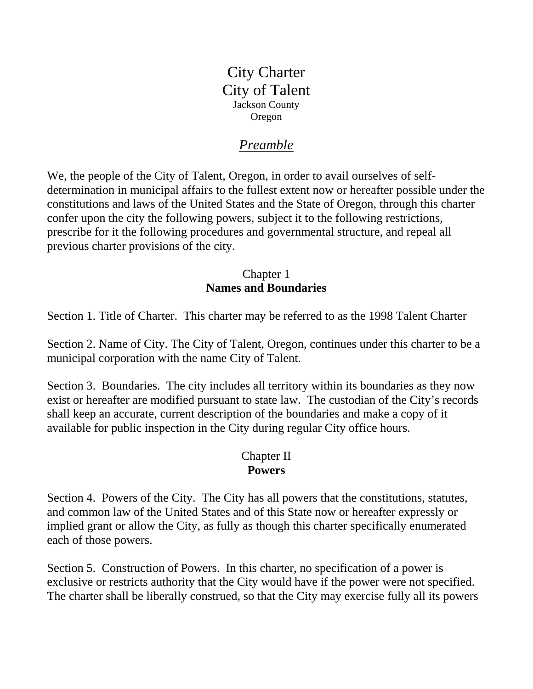City Charter City of Talent Jackson County Oregon

# *Preamble*

We, the people of the City of Talent, Oregon, in order to avail ourselves of selfdetermination in municipal affairs to the fullest extent now or hereafter possible under the constitutions and laws of the United States and the State of Oregon, through this charter confer upon the city the following powers, subject it to the following restrictions, prescribe for it the following procedures and governmental structure, and repeal all previous charter provisions of the city.

### Chapter 1 **Names and Boundaries**

Section 1. Title of Charter. This charter may be referred to as the 1998 Talent Charter

Section 2. Name of City. The City of Talent, Oregon, continues under this charter to be a municipal corporation with the name City of Talent.

Section 3. Boundaries. The city includes all territory within its boundaries as they now exist or hereafter are modified pursuant to state law. The custodian of the City's records shall keep an accurate, current description of the boundaries and make a copy of it available for public inspection in the City during regular City office hours.

#### Chapter II **Powers**

Section 4. Powers of the City. The City has all powers that the constitutions, statutes, and common law of the United States and of this State now or hereafter expressly or implied grant or allow the City, as fully as though this charter specifically enumerated each of those powers.

Section 5. Construction of Powers. In this charter, no specification of a power is exclusive or restricts authority that the City would have if the power were not specified. The charter shall be liberally construed, so that the City may exercise fully all its powers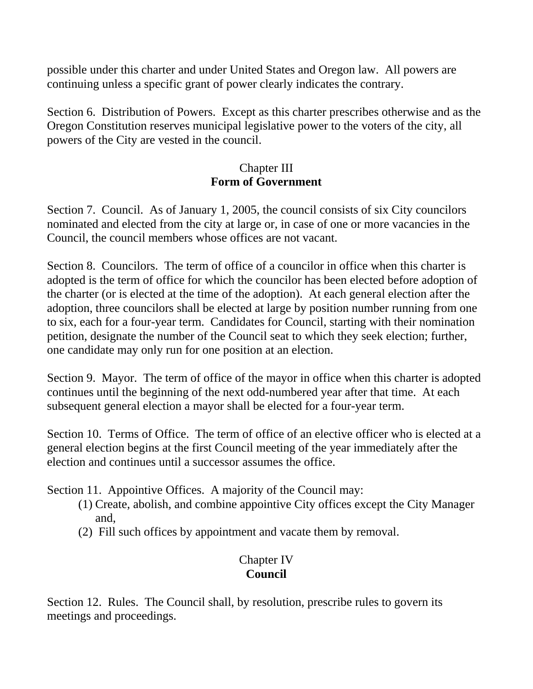possible under this charter and under United States and Oregon law. All powers are continuing unless a specific grant of power clearly indicates the contrary.

Section 6. Distribution of Powers. Except as this charter prescribes otherwise and as the Oregon Constitution reserves municipal legislative power to the voters of the city, all powers of the City are vested in the council.

### Chapter III **Form of Government**

Section 7. Council. As of January 1, 2005, the council consists of six City councilors nominated and elected from the city at large or, in case of one or more vacancies in the Council, the council members whose offices are not vacant.

Section 8. Councilors. The term of office of a councilor in office when this charter is adopted is the term of office for which the councilor has been elected before adoption of the charter (or is elected at the time of the adoption). At each general election after the adoption, three councilors shall be elected at large by position number running from one to six, each for a four-year term. Candidates for Council, starting with their nomination petition, designate the number of the Council seat to which they seek election; further, one candidate may only run for one position at an election.

Section 9. Mayor. The term of office of the mayor in office when this charter is adopted continues until the beginning of the next odd-numbered year after that time. At each subsequent general election a mayor shall be elected for a four-year term.

Section 10. Terms of Office. The term of office of an elective officer who is elected at a general election begins at the first Council meeting of the year immediately after the election and continues until a successor assumes the office.

Section 11. Appointive Offices. A majority of the Council may:

- (1) Create, abolish, and combine appointive City offices except the City Manager and,
- (2) Fill such offices by appointment and vacate them by removal.

# Chapter IV **Council**

Section 12. Rules. The Council shall, by resolution, prescribe rules to govern its meetings and proceedings.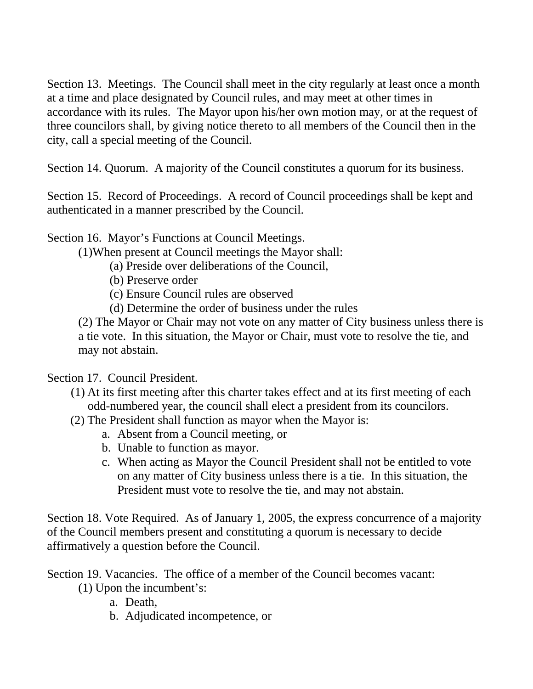Section 13. Meetings. The Council shall meet in the city regularly at least once a month at a time and place designated by Council rules, and may meet at other times in accordance with its rules. The Mayor upon his/her own motion may, or at the request of three councilors shall, by giving notice thereto to all members of the Council then in the city, call a special meeting of the Council.

Section 14. Quorum. A majority of the Council constitutes a quorum for its business.

Section 15. Record of Proceedings. A record of Council proceedings shall be kept and authenticated in a manner prescribed by the Council.

Section 16. Mayor's Functions at Council Meetings.

(1)When present at Council meetings the Mayor shall:

- (a) Preside over deliberations of the Council,
- (b) Preserve order
- (c) Ensure Council rules are observed
- (d) Determine the order of business under the rules

(2) The Mayor or Chair may not vote on any matter of City business unless there is a tie vote. In this situation, the Mayor or Chair, must vote to resolve the tie, and may not abstain.

Section 17. Council President.

- (1) At its first meeting after this charter takes effect and at its first meeting of each odd-numbered year, the council shall elect a president from its councilors.
- (2) The President shall function as mayor when the Mayor is:
	- a. Absent from a Council meeting, or
	- b. Unable to function as mayor.
	- c. When acting as Mayor the Council President shall not be entitled to vote on any matter of City business unless there is a tie. In this situation, the President must vote to resolve the tie, and may not abstain.

Section 18. Vote Required. As of January 1, 2005, the express concurrence of a majority of the Council members present and constituting a quorum is necessary to decide affirmatively a question before the Council.

Section 19. Vacancies. The office of a member of the Council becomes vacant:

- (1) Upon the incumbent's:
	- a. Death,
	- b. Adjudicated incompetence, or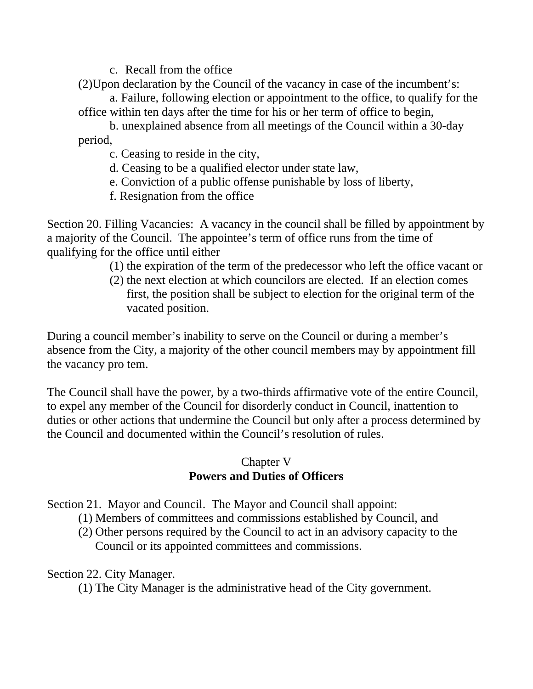c. Recall from the office

- (2)Upon declaration by the Council of the vacancy in case of the incumbent's: a. Failure, following election or appointment to the office, to qualify for the
- office within ten days after the time for his or her term of office to begin,

 b. unexplained absence from all meetings of the Council within a 30-day period,

- c. Ceasing to reside in the city,
- d. Ceasing to be a qualified elector under state law,
- e. Conviction of a public offense punishable by loss of liberty,
- f. Resignation from the office

Section 20. Filling Vacancies: A vacancy in the council shall be filled by appointment by a majority of the Council. The appointee's term of office runs from the time of qualifying for the office until either

- (1) the expiration of the term of the predecessor who left the office vacant or
- (2) the next election at which councilors are elected. If an election comes first, the position shall be subject to election for the original term of the vacated position.

During a council member's inability to serve on the Council or during a member's absence from the City, a majority of the other council members may by appointment fill the vacancy pro tem.

The Council shall have the power, by a two-thirds affirmative vote of the entire Council, to expel any member of the Council for disorderly conduct in Council, inattention to duties or other actions that undermine the Council but only after a process determined by the Council and documented within the Council's resolution of rules.

# Chapter V **Powers and Duties of Officers**

Section 21. Mayor and Council. The Mayor and Council shall appoint:

- (1) Members of committees and commissions established by Council, and
- (2) Other persons required by the Council to act in an advisory capacity to the Council or its appointed committees and commissions.

Section 22. City Manager.

(1) The City Manager is the administrative head of the City government.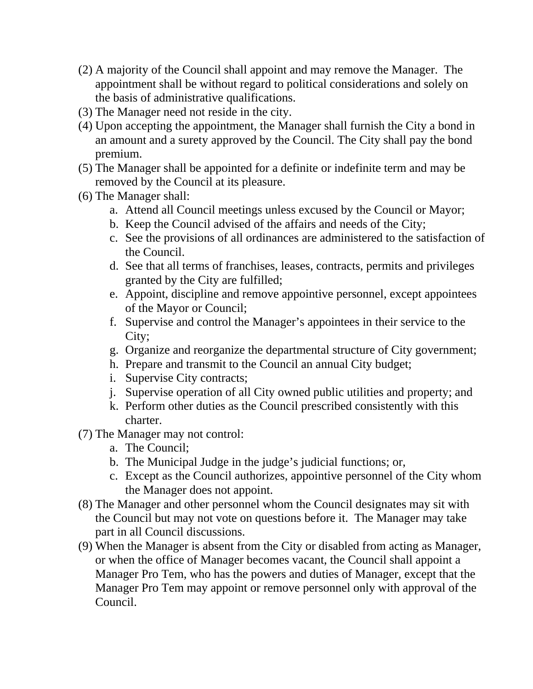- (2) A majority of the Council shall appoint and may remove the Manager. The appointment shall be without regard to political considerations and solely on the basis of administrative qualifications.
- (3) The Manager need not reside in the city.
- (4) Upon accepting the appointment, the Manager shall furnish the City a bond in an amount and a surety approved by the Council. The City shall pay the bond premium.
- (5) The Manager shall be appointed for a definite or indefinite term and may be removed by the Council at its pleasure.
- (6) The Manager shall:
	- a. Attend all Council meetings unless excused by the Council or Mayor;
	- b. Keep the Council advised of the affairs and needs of the City;
	- c. See the provisions of all ordinances are administered to the satisfaction of the Council.
	- d. See that all terms of franchises, leases, contracts, permits and privileges granted by the City are fulfilled;
	- e. Appoint, discipline and remove appointive personnel, except appointees of the Mayor or Council;
	- f. Supervise and control the Manager's appointees in their service to the City;
	- g. Organize and reorganize the departmental structure of City government;
	- h. Prepare and transmit to the Council an annual City budget;
	- i. Supervise City contracts;
	- j. Supervise operation of all City owned public utilities and property; and
	- k. Perform other duties as the Council prescribed consistently with this charter.
- (7) The Manager may not control:
	- a. The Council;
	- b. The Municipal Judge in the judge's judicial functions; or,
	- c. Except as the Council authorizes, appointive personnel of the City whom the Manager does not appoint.
- (8) The Manager and other personnel whom the Council designates may sit with the Council but may not vote on questions before it. The Manager may take part in all Council discussions.
- (9) When the Manager is absent from the City or disabled from acting as Manager, or when the office of Manager becomes vacant, the Council shall appoint a Manager Pro Tem, who has the powers and duties of Manager, except that the Manager Pro Tem may appoint or remove personnel only with approval of the Council.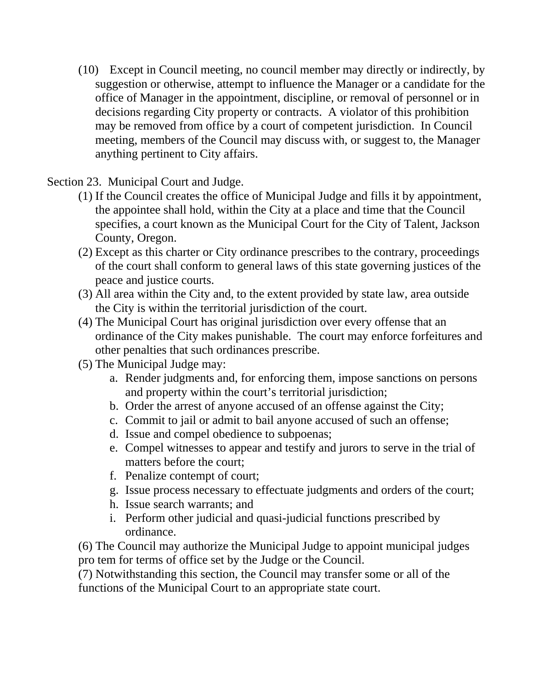(10) Except in Council meeting, no council member may directly or indirectly, by suggestion or otherwise, attempt to influence the Manager or a candidate for the office of Manager in the appointment, discipline, or removal of personnel or in decisions regarding City property or contracts. A violator of this prohibition may be removed from office by a court of competent jurisdiction. In Council meeting, members of the Council may discuss with, or suggest to, the Manager anything pertinent to City affairs.

Section 23. Municipal Court and Judge.

- (1) If the Council creates the office of Municipal Judge and fills it by appointment, the appointee shall hold, within the City at a place and time that the Council specifies, a court known as the Municipal Court for the City of Talent, Jackson County, Oregon.
- (2) Except as this charter or City ordinance prescribes to the contrary, proceedings of the court shall conform to general laws of this state governing justices of the peace and justice courts.
- (3) All area within the City and, to the extent provided by state law, area outside the City is within the territorial jurisdiction of the court.
- (4) The Municipal Court has original jurisdiction over every offense that an ordinance of the City makes punishable. The court may enforce forfeitures and other penalties that such ordinances prescribe.
- (5) The Municipal Judge may:
	- a. Render judgments and, for enforcing them, impose sanctions on persons and property within the court's territorial jurisdiction;
	- b. Order the arrest of anyone accused of an offense against the City;
	- c. Commit to jail or admit to bail anyone accused of such an offense;
	- d. Issue and compel obedience to subpoenas;
	- e. Compel witnesses to appear and testify and jurors to serve in the trial of matters before the court;
	- f. Penalize contempt of court;
	- g. Issue process necessary to effectuate judgments and orders of the court;
	- h. Issue search warrants; and
	- i. Perform other judicial and quasi-judicial functions prescribed by ordinance.

(6) The Council may authorize the Municipal Judge to appoint municipal judges pro tem for terms of office set by the Judge or the Council.

(7) Notwithstanding this section, the Council may transfer some or all of the functions of the Municipal Court to an appropriate state court.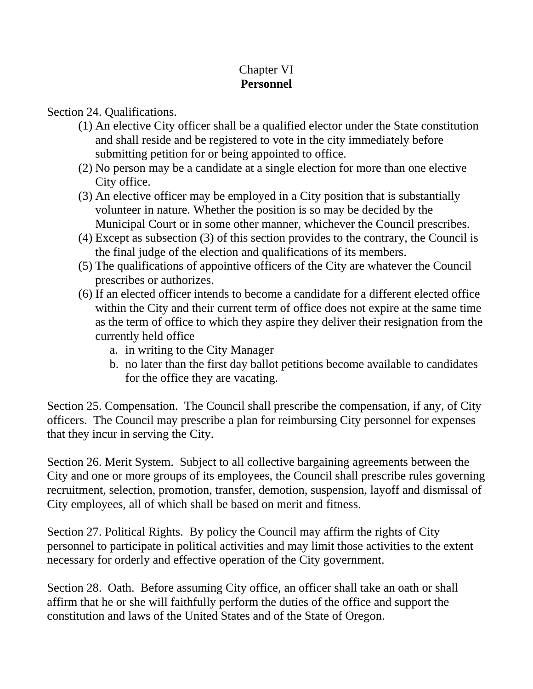# Chapter VI **Personnel**

### Section 24. Qualifications.

- (1) An elective City officer shall be a qualified elector under the State constitution and shall reside and be registered to vote in the city immediately before submitting petition for or being appointed to office.
- (2) No person may be a candidate at a single election for more than one elective City office.
- (3) An elective officer may be employed in a City position that is substantially volunteer in nature. Whether the position is so may be decided by the Municipal Court or in some other manner, whichever the Council prescribes.
- (4) Except as subsection (3) of this section provides to the contrary, the Council is the final judge of the election and qualifications of its members.
- (5) The qualifications of appointive officers of the City are whatever the Council prescribes or authorizes.
- (6) If an elected officer intends to become a candidate for a different elected office within the City and their current term of office does not expire at the same time as the term of office to which they aspire they deliver their resignation from the currently held office
	- a. in writing to the City Manager
	- b. no later than the first day ballot petitions become available to candidates for the office they are vacating.

Section 25. Compensation. The Council shall prescribe the compensation, if any, of City officers. The Council may prescribe a plan for reimbursing City personnel for expenses that they incur in serving the City.

Section 26. Merit System. Subject to all collective bargaining agreements between the City and one or more groups of its employees, the Council shall prescribe rules governing recruitment, selection, promotion, transfer, demotion, suspension, layoff and dismissal of City employees, all of which shall be based on merit and fitness.

Section 27. Political Rights. By policy the Council may affirm the rights of City personnel to participate in political activities and may limit those activities to the extent necessary for orderly and effective operation of the City government.

Section 28. Oath. Before assuming City office, an officer shall take an oath or shall affirm that he or she will faithfully perform the duties of the office and support the constitution and laws of the United States and of the State of Oregon.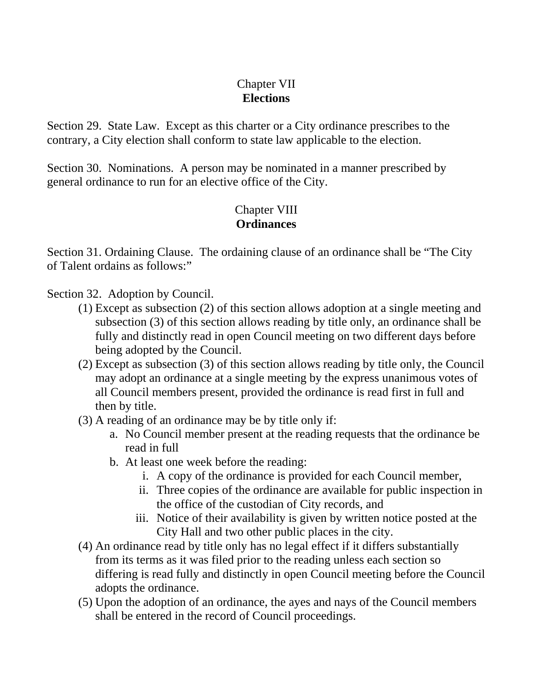### Chapter VII **Elections**

Section 29. State Law. Except as this charter or a City ordinance prescribes to the contrary, a City election shall conform to state law applicable to the election.

Section 30. Nominations. A person may be nominated in a manner prescribed by general ordinance to run for an elective office of the City.

# Chapter VIII **Ordinances**

Section 31. Ordaining Clause. The ordaining clause of an ordinance shall be "The City of Talent ordains as follows:"

Section 32. Adoption by Council.

- (1) Except as subsection (2) of this section allows adoption at a single meeting and subsection (3) of this section allows reading by title only, an ordinance shall be fully and distinctly read in open Council meeting on two different days before being adopted by the Council.
- (2) Except as subsection (3) of this section allows reading by title only, the Council may adopt an ordinance at a single meeting by the express unanimous votes of all Council members present, provided the ordinance is read first in full and then by title.
- (3) A reading of an ordinance may be by title only if:
	- a. No Council member present at the reading requests that the ordinance be read in full
	- b. At least one week before the reading:
		- i. A copy of the ordinance is provided for each Council member,
		- ii. Three copies of the ordinance are available for public inspection in the office of the custodian of City records, and
		- iii. Notice of their availability is given by written notice posted at the City Hall and two other public places in the city.
- (4) An ordinance read by title only has no legal effect if it differs substantially from its terms as it was filed prior to the reading unless each section so differing is read fully and distinctly in open Council meeting before the Council adopts the ordinance.
- (5) Upon the adoption of an ordinance, the ayes and nays of the Council members shall be entered in the record of Council proceedings.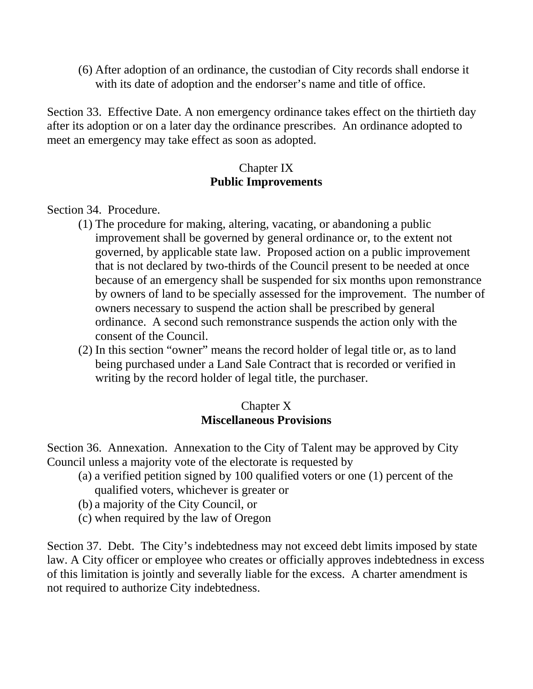(6) After adoption of an ordinance, the custodian of City records shall endorse it with its date of adoption and the endorser's name and title of office.

Section 33. Effective Date. A non emergency ordinance takes effect on the thirtieth day after its adoption or on a later day the ordinance prescribes. An ordinance adopted to meet an emergency may take effect as soon as adopted.

### Chapter IX **Public Improvements**

Section 34. Procedure.

- (1) The procedure for making, altering, vacating, or abandoning a public improvement shall be governed by general ordinance or, to the extent not governed, by applicable state law. Proposed action on a public improvement that is not declared by two-thirds of the Council present to be needed at once because of an emergency shall be suspended for six months upon remonstrance by owners of land to be specially assessed for the improvement. The number of owners necessary to suspend the action shall be prescribed by general ordinance. A second such remonstrance suspends the action only with the consent of the Council.
- (2) In this section "owner" means the record holder of legal title or, as to land being purchased under a Land Sale Contract that is recorded or verified in writing by the record holder of legal title, the purchaser.

### Chapter X **Miscellaneous Provisions**

Section 36. Annexation. Annexation to the City of Talent may be approved by City Council unless a majority vote of the electorate is requested by

- (a) a verified petition signed by 100 qualified voters or one (1) percent of the qualified voters, whichever is greater or
- (b) a majority of the City Council, or
- (c) when required by the law of Oregon

Section 37. Debt. The City's indebtedness may not exceed debt limits imposed by state law. A City officer or employee who creates or officially approves indebtedness in excess of this limitation is jointly and severally liable for the excess. A charter amendment is not required to authorize City indebtedness.